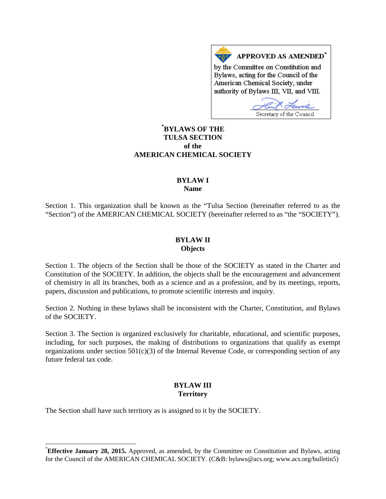APPROVED AS AMENDED<sup>\*</sup> by the Committee on Constitution and Bylaws, acting for the Council of the American Chemical Society, under authority of Bylaws III, VII, and VIII.

Secretary of the Council

# **[\\*](#page-0-0) BYLAWS OF THE TULSA SECTION of the AMERICAN CHEMICAL SOCIETY**

#### **BYLAW I Name**

Section 1. This organization shall be known as the "Tulsa Section (hereinafter referred to as the "Section") of the AMERICAN CHEMICAL SOCIETY (hereinafter referred to as "the "SOCIETY").

#### **BYLAW II Objects**

Section 1. The objects of the Section shall be those of the SOCIETY as stated in the Charter and Constitution of the SOCIETY. In addition, the objects shall be the encouragement and advancement of chemistry in all its branches, both as a science and as a profession, and by its meetings, reports, papers, discussion and publications, to promote scientific interests and inquiry.

Section 2. Nothing in these bylaws shall be inconsistent with the Charter, Constitution, and Bylaws of the SOCIETY.

Section 3. The Section is organized exclusively for charitable, educational, and scientific purposes, including, for such purposes, the making of distributions to organizations that qualify as exempt organizations under section  $501(c)(3)$  of the Internal Revenue Code, or corresponding section of any future federal tax code.

# **BYLAW III Territory**

The Section shall have such territory as is assigned to it by the SOCIETY.

<span id="page-0-0"></span>**Effective January 28, 2015.** Approved, as amended, by the Committee on Constitution and Bylaws, acting for the Council of the AMERICAN CHEMICAL SOCIETY. (C&B: bylaws@acs.org; www.acs.org/bulletin5)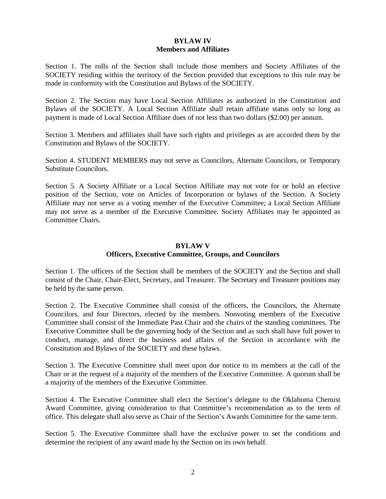## **BYLAW IV Members and Affiliates**

Section 1. The rolls of the Section shall include those members and Society Affiliates of the SOCIETY residing within the territory of the Section provided that exceptions to this rule may be made in conformity with the Constitution and Bylaws of the SOCIETY.

Section 2. The Section may have Local Section Affiliates as authorized in the Constitution and Bylaws of the SOCIETY. A Local Section Affiliate shall retain affiliate status only so long as payment is made of Local Section Affiliate dues of not less than two dollars (\$2.00) per annum.

Section 3. Members and affiliates shall have such rights and privileges as are accorded them by the Constitution and Bylaws of the SOCIETY.

Section 4. STUDENT MEMBERS may not serve as Councilors, Alternate Councilors, or Temporary Substitute Councilors.

Section 5. A Society Affiliate or a Local Section Affiliate may not vote for or hold an elective position of the Section, vote on Articles of Incorporation or bylaws of the Section. A Society Affiliate may not serve as a voting member of the Executive Committee; a Local Section Affiliate may not serve as a member of the Executive Committee. Society Affiliates may be appointed as Committee Chairs.

#### **BYLAW V**

### **Officers, Executive Committee, Groups, and Councilors**

Section 1. The officers of the Section shall be members of the SOCIETY and the Section and shall consist of the Chair, Chair-Elect, Secretary, and Treasurer. The Secretary and Treasurer positions may be held by the same person.

Section 2. The Executive Committee shall consist of the officers, the Councilors, the Alternate Councilors, and four Directors, elected by the members. Nonvoting members of the Executive Committee shall consist of the Immediate Past Chair and the chairs of the standing committees. The Executive Committee shall be the governing body of the Section and as such shall have full power to conduct, manage, and direct the business and affairs of the Section in accordance with the Constitution and Bylaws of the SOCIETY and these bylaws.

Section 3. The Executive Committee shall meet upon due notice to its members at the call of the Chair or at the request of a majority of the members of the Executive Committee. A quorum shall be a majority of the members of the Executive Committee.

Section 4. The Executive Committee shall elect the Section's delegate to the Oklahoma Chemist Award Committee, giving consideration to that Committee's recommendation as to the term of office. This delegate shall also serve as Chair of the Section's Awards Committee for the same term.

Section 5. The Executive Committee shall have the exclusive power to set the conditions and determine the recipient of any award made by the Section on its own behalf.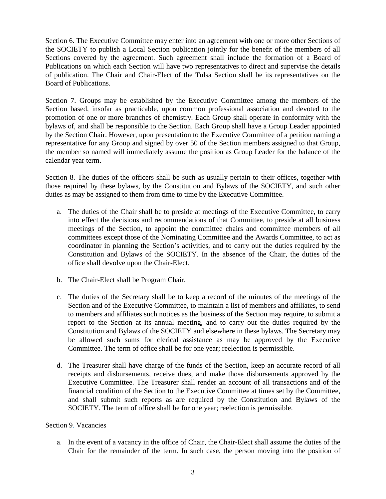Section 6. The Executive Committee may enter into an agreement with one or more other Sections of the SOCIETY to publish a Local Section publication jointly for the benefit of the members of all Sections covered by the agreement. Such agreement shall include the formation of a Board of Publications on which each Section will have two representatives to direct and supervise the details of publication. The Chair and Chair-Elect of the Tulsa Section shall be its representatives on the Board of Publications.

Section 7. Groups may be established by the Executive Committee among the members of the Section based, insofar as practicable, upon common professional association and devoted to the promotion of one or more branches of chemistry. Each Group shall operate in conformity with the bylaws of, and shall be responsible to the Section. Each Group shall have a Group Leader appointed by the Section Chair. However, upon presentation to the Executive Committee of a petition naming a representative for any Group and signed by over 50 of the Section members assigned to that Group, the member so named will immediately assume the position as Group Leader for the balance of the calendar year term.

Section 8. The duties of the officers shall be such as usually pertain to their offices, together with those required by these bylaws, by the Constitution and Bylaws of the SOCIETY, and such other duties as may be assigned to them from time to time by the Executive Committee.

- a. The duties of the Chair shall be to preside at meetings of the Executive Committee, to carry into effect the decisions and recommendations of that Committee, to preside at all business meetings of the Section, to appoint the committee chairs and committee members of all committees except those of the Nominating Committee and the Awards Committee, to act as coordinator in planning the Section's activities, and to carry out the duties required by the Constitution and Bylaws of the SOCIETY. In the absence of the Chair, the duties of the office shall devolve upon the Chair-Elect.
- b. The Chair-Elect shall be Program Chair.
- c. The duties of the Secretary shall be to keep a record of the minutes of the meetings of the Section and of the Executive Committee, to maintain a list of members and affiliates, to send to members and affiliates such notices as the business of the Section may require, to submit a report to the Section at its annual meeting, and to carry out the duties required by the Constitution and Bylaws of the SOCIETY and elsewhere in these bylaws. The Secretary may be allowed such sums for clerical assistance as may be approved by the Executive Committee. The term of office shall be for one year; reelection is permissible.
- d. The Treasurer shall have charge of the funds of the Section, keep an accurate record of all receipts and disbursements, receive dues, and make those disbursements approved by the Executive Committee. The Treasurer shall render an account of all transactions and of the financial condition of the Section to the Executive Committee at times set by the Committee, and shall submit such reports as are required by the Constitution and Bylaws of the SOCIETY. The term of office shall be for one year; reelection is permissible.

## Section 9. Vacancies

a. In the event of a vacancy in the office of Chair, the Chair-Elect shall assume the duties of the Chair for the remainder of the term. In such case, the person moving into the position of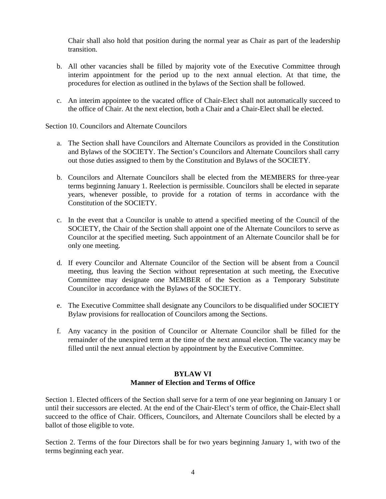Chair shall also hold that position during the normal year as Chair as part of the leadership transition.

- b. All other vacancies shall be filled by majority vote of the Executive Committee through interim appointment for the period up to the next annual election. At that time, the procedures for election as outlined in the bylaws of the Section shall be followed.
- c. An interim appointee to the vacated office of Chair-Elect shall not automatically succeed to the office of Chair. At the next election, both a Chair and a Chair-Elect shall be elected.

### Section 10. Councilors and Alternate Councilors

- a. The Section shall have Councilors and Alternate Councilors as provided in the Constitution and Bylaws of the SOCIETY. The Section's Councilors and Alternate Councilors shall carry out those duties assigned to them by the Constitution and Bylaws of the SOCIETY.
- b. Councilors and Alternate Councilors shall be elected from the MEMBERS for three-year terms beginning January 1. Reelection is permissible. Councilors shall be elected in separate years, whenever possible, to provide for a rotation of terms in accordance with the Constitution of the SOCIETY.
- c. In the event that a Councilor is unable to attend a specified meeting of the Council of the SOCIETY, the Chair of the Section shall appoint one of the Alternate Councilors to serve as Councilor at the specified meeting. Such appointment of an Alternate Councilor shall be for only one meeting.
- d. If every Councilor and Alternate Councilor of the Section will be absent from a Council meeting, thus leaving the Section without representation at such meeting, the Executive Committee may designate one MEMBER of the Section as a Temporary Substitute Councilor in accordance with the Bylaws of the SOCIETY.
- e. The Executive Committee shall designate any Councilors to be disqualified under SOCIETY Bylaw provisions for reallocation of Councilors among the Sections.
- f. Any vacancy in the position of Councilor or Alternate Councilor shall be filled for the remainder of the unexpired term at the time of the next annual election. The vacancy may be filled until the next annual election by appointment by the Executive Committee.

## **BYLAW VI Manner of Election and Terms of Office**

Section 1. Elected officers of the Section shall serve for a term of one year beginning on January 1 or until their successors are elected. At the end of the Chair-Elect's term of office, the Chair-Elect shall succeed to the office of Chair. Officers, Councilors, and Alternate Councilors shall be elected by a ballot of those eligible to vote.

Section 2. Terms of the four Directors shall be for two years beginning January 1, with two of the terms beginning each year.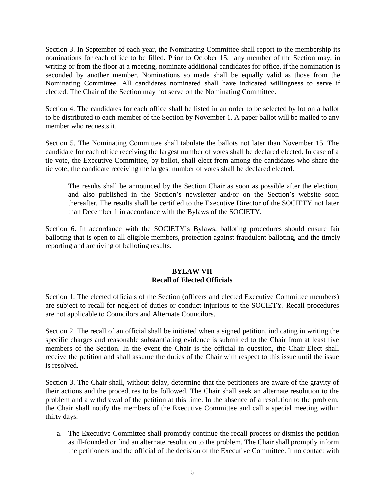Section 3. In September of each year, the Nominating Committee shall report to the membership its nominations for each office to be filled. Prior to October 15, any member of the Section may, in writing or from the floor at a meeting, nominate additional candidates for office, if the nomination is seconded by another member. Nominations so made shall be equally valid as those from the Nominating Committee. All candidates nominated shall have indicated willingness to serve if elected. The Chair of the Section may not serve on the Nominating Committee.

Section 4. The candidates for each office shall be listed in an order to be selected by lot on a ballot to be distributed to each member of the Section by November 1. A paper ballot will be mailed to any member who requests it.

Section 5. The Nominating Committee shall tabulate the ballots not later than November 15. The candidate for each office receiving the largest number of votes shall be declared elected. In case of a tie vote, the Executive Committee, by ballot, shall elect from among the candidates who share the tie vote; the candidate receiving the largest number of votes shall be declared elected.

The results shall be announced by the Section Chair as soon as possible after the election, and also published in the Section's newsletter and/or on the Section's website soon thereafter. The results shall be certified to the Executive Director of the SOCIETY not later than December 1 in accordance with the Bylaws of the SOCIETY.

Section 6. In accordance with the SOCIETY's Bylaws, balloting procedures should ensure fair balloting that is open to all eligible members, protection against fraudulent balloting, and the timely reporting and archiving of balloting results.

## **BYLAW VII Recall of Elected Officials**

Section 1. The elected officials of the Section (officers and elected Executive Committee members) are subject to recall for neglect of duties or conduct injurious to the SOCIETY. Recall procedures are not applicable to Councilors and Alternate Councilors.

Section 2. The recall of an official shall be initiated when a signed petition, indicating in writing the specific charges and reasonable substantiating evidence is submitted to the Chair from at least five members of the Section. In the event the Chair is the official in question, the Chair-Elect shall receive the petition and shall assume the duties of the Chair with respect to this issue until the issue is resolved.

Section 3. The Chair shall, without delay, determine that the petitioners are aware of the gravity of their actions and the procedures to be followed. The Chair shall seek an alternate resolution to the problem and a withdrawal of the petition at this time. In the absence of a resolution to the problem, the Chair shall notify the members of the Executive Committee and call a special meeting within thirty days.

a. The Executive Committee shall promptly continue the recall process or dismiss the petition as ill-founded or find an alternate resolution to the problem. The Chair shall promptly inform the petitioners and the official of the decision of the Executive Committee. If no contact with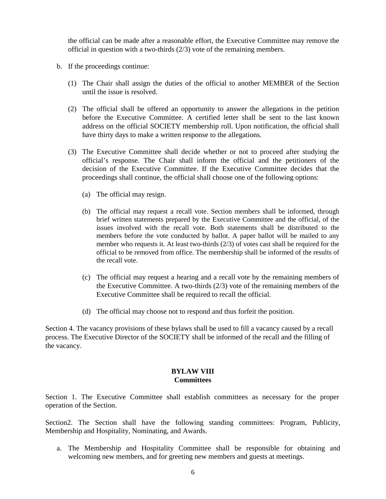the official can be made after a reasonable effort, the Executive Committee may remove the official in question with a two-thirds (2/3) vote of the remaining members.

- b. If the proceedings continue:
	- (1) The Chair shall assign the duties of the official to another MEMBER of the Section until the issue is resolved.
	- (2) The official shall be offered an opportunity to answer the allegations in the petition before the Executive Committee. A certified letter shall be sent to the last known address on the official SOCIETY membership roll. Upon notification, the official shall have thirty days to make a written response to the allegations.
	- (3) The Executive Committee shall decide whether or not to proceed after studying the official's response. The Chair shall inform the official and the petitioners of the decision of the Executive Committee. If the Executive Committee decides that the proceedings shall continue, the official shall choose one of the following options:
		- (a) The official may resign.
		- (b) The official may request a recall vote. Section members shall be informed, through brief written statements prepared by the Executive Committee and the official, of the issues involved with the recall vote. Both statements shall be distributed to the members before the vote conducted by ballot. A paper ballot will be mailed to any member who requests it. At least two-thirds  $(2/3)$  of votes cast shall be required for the official to be removed from office. The membership shall be informed of the results of the recall vote.
		- (c) The official may request a hearing and a recall vote by the remaining members of the Executive Committee. A two-thirds  $(2/3)$  vote of the remaining members of the Executive Committee shall be required to recall the official.
		- (d) The official may choose not to respond and thus forfeit the position.

Section 4. The vacancy provisions of these bylaws shall be used to fill a vacancy caused by a recall process. The Executive Director of the SOCIETY shall be informed of the recall and the filling of the vacancy.

#### **BYLAW VIII Committees**

Section 1. The Executive Committee shall establish committees as necessary for the proper operation of the Section.

Section2. The Section shall have the following standing committees: Program, Publicity, Membership and Hospitality, Nominating, and Awards.

a. The Membership and Hospitality Committee shall be responsible for obtaining and welcoming new members, and for greeting new members and guests at meetings.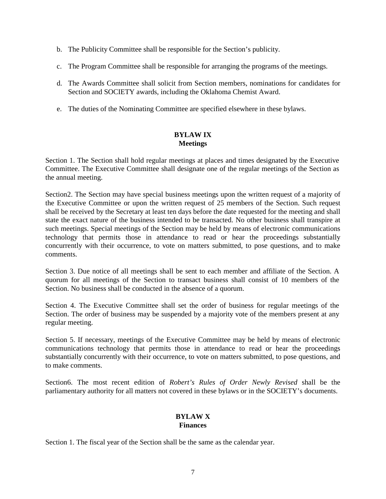- b. The Publicity Committee shall be responsible for the Section's publicity.
- c. The Program Committee shall be responsible for arranging the programs of the meetings.
- d. The Awards Committee shall solicit from Section members, nominations for candidates for Section and SOCIETY awards, including the Oklahoma Chemist Award.
- e. The duties of the Nominating Committee are specified elsewhere in these bylaws.

## **BYLAW IX Meetings**

Section 1. The Section shall hold regular meetings at places and times designated by the Executive Committee. The Executive Committee shall designate one of the regular meetings of the Section as the annual meeting.

Section2. The Section may have special business meetings upon the written request of a majority of the Executive Committee or upon the written request of 25 members of the Section. Such request shall be received by the Secretary at least ten days before the date requested for the meeting and shall state the exact nature of the business intended to be transacted. No other business shall transpire at such meetings. Special meetings of the Section may be held by means of electronic communications technology that permits those in attendance to read or hear the proceedings substantially concurrently with their occurrence, to vote on matters submitted, to pose questions, and to make comments.

Section 3. Due notice of all meetings shall be sent to each member and affiliate of the Section. A quorum for all meetings of the Section to transact business shall consist of 10 members of the Section. No business shall be conducted in the absence of a quorum.

Section 4. The Executive Committee shall set the order of business for regular meetings of the Section. The order of business may be suspended by a majority vote of the members present at any regular meeting.

Section 5. If necessary, meetings of the Executive Committee may be held by means of electronic communications technology that permits those in attendance to read or hear the proceedings substantially concurrently with their occurrence, to vote on matters submitted, to pose questions, and to make comments.

Section6. The most recent edition of *Robert's Rules of Order Newly Revised* shall be the parliamentary authority for all matters not covered in these bylaws or in the SOCIETY's documents.

## **BYLAW X Finances**

Section 1. The fiscal year of the Section shall be the same as the calendar year.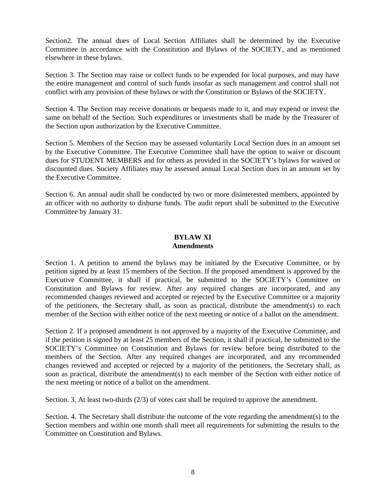Section2. The annual dues of Local Section Affiliates shall be determined by the Executive Committee in accordance with the Constitution and Bylaws of the SOCIETY, and as mentioned elsewhere in these bylaws.

Section 3. The Section may raise or collect funds to be expended for local purposes, and may have the entire management and control of such funds insofar as such management and control shall not conflict with any provision of these bylaws or with the Constitution or Bylaws of the SOCIETY.

Section 4. The Section may receive donations or bequests made to it, and may expend or invest the same on behalf of the Section. Such expenditures or investments shall be made by the Treasurer of the Section upon authorization by the Executive Committee.

Section 5. Members of the Section may be assessed voluntarily Local Section dues in an amount set by the Executive Committee. The Executive Committee shall have the option to waive or discount dues for STUDENT MEMBERS and for others as provided in the SOCIETY's bylaws for waived or discounted dues. Society Affiliates may be assessed annual Local Section dues in an amount set by the Executive Committee.

Section 6. An annual audit shall be conducted by two or more disinterested members, appointed by an officer with no authority to disburse funds. The audit report shall be submitted to the Executive Committee by January 31.

## **BYLAW XI Amendments**

Section 1. A petition to amend the bylaws may be initiated by the Executive Committee, or by petition signed by at least 15 members of the Section. If the proposed amendment is approved by the Executive Committee, it shall if practical, be submitted to the SOCIETY's Committee on Constitution and Bylaws for review. After any required changes are incorporated, and any recommended changes reviewed and accepted or rejected by the Executive Committee or a majority of the petitioners, the Secretary shall, as soon as practical, distribute the amendment(s) to each member of the Section with either notice of the next meeting or notice of a ballot on the amendment.

Section 2. If a proposed amendment is not approved by a majority of the Executive Committee, and if the petition is signed by at least 25 members of the Section, it shall if practical, be submitted to the SOCIETY's Committee on Constitution and Bylaws for review before being distributed to the members of the Section. After any required changes are incorporated, and any recommended changes reviewed and accepted or rejected by a majority of the petitioners, the Secretary shall, as soon as practical, distribute the amendment(s) to each member of the Section with either notice of the next meeting or notice of a ballot on the amendment.

Section. 3. At least two-thirds (2/3) of votes cast shall be required to approve the amendment.

Section. 4. The Secretary shall distribute the outcome of the vote regarding the amendment(s) to the Section members and within one month shall meet all requirements for submitting the results to the Committee on Constitution and Bylaws.